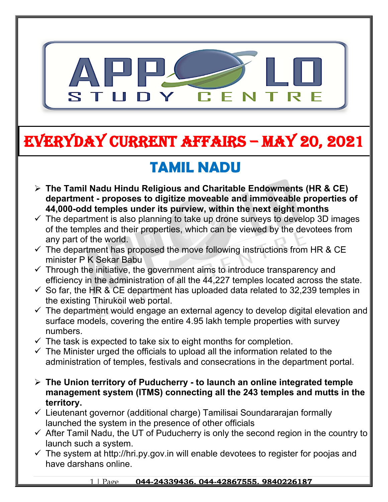

# **EVERYDAY CURRENT AFFAIRS – MAY 20, 2021**

**-**

## **TAMIL NADU**

- **The Tamil Nadu Hindu Religious and Charitable Endowments (HR & CE) department - proposes to digitize moveable and immoveable properties of 44,000-odd temples under its purview, within the next eight months**
- $\checkmark$  The department is also planning to take up drone surveys to develop 3D images of the temples and their properties, which can be viewed by the devotees from any part of the world.
- $\checkmark$  The department has proposed the move following instructions from HR & CE minister P K Sekar Babu
- $\checkmark$  Through the initiative, the government aims to introduce transparency and efficiency in the administration of all the 44,227 temples located across the state.
- $\checkmark$  So far, the HR & CE department has uploaded data related to 32,239 temples in the existing Thirukoil web portal.
- $\checkmark$  The department would engage an external agency to develop digital elevation and surface models, covering the entire 4.95 lakh temple properties with survey numbers.
- $\checkmark$  The task is expected to take six to eight months for completion.
- $\checkmark$  The Minister urged the officials to upload all the information related to the administration of temples, festivals and consecrations in the department portal.
- **The Union territory of Puducherry to launch an online integrated temple management system (ITMS) connecting all the 243 temples and mutts in the territory.**
- $\checkmark$  Lieutenant governor (additional charge) Tamilisai Soundararajan formally launched the system in the presence of other officials
- $\checkmark$  After Tamil Nadu, the UT of Puducherry is only the second region in the country to launch such a system.
- $\checkmark$  The system at http://hri.py.gov.in will enable devotees to register for poojas and have darshans online.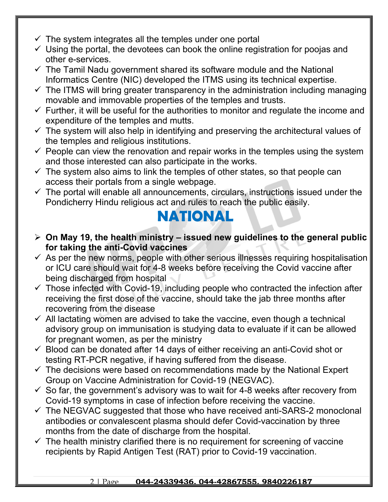- $\checkmark$  The system integrates all the temples under one portal
- $\checkmark$  Using the portal, the devotees can book the online registration for poojas and other e-services.
- $\checkmark$  The Tamil Nadu government shared its software module and the National Informatics Centre (NIC) developed the ITMS using its technical expertise.
- $\checkmark$  The ITMS will bring greater transparency in the administration including managing movable and immovable properties of the temples and trusts.
- $\checkmark$  Further, it will be useful for the authorities to monitor and regulate the income and expenditure of the temples and mutts.
- $\checkmark$  The system will also help in identifying and preserving the architectural values of the temples and religious institutions.
- $\checkmark$  People can view the renovation and repair works in the temples using the system and those interested can also participate in the works.
- $\checkmark$  The system also aims to link the temples of other states, so that people can access their portals from a single webpage.
- $\checkmark$  The portal will enable all announcements, circulars, instructions issued under the Pondicherry Hindu religious act and rules to reach the public easily.

#### **NATIONAL**

- **On May 19, the health ministry issued new guidelines to the general public for taking the anti-Covid vaccines**
- $\checkmark$  As per the new norms, people with other serious illnesses requiring hospitalisation or ICU care should wait for 4-8 weeks before receiving the Covid vaccine after being discharged from hospital
- $\checkmark$  Those infected with Covid-19, including people who contracted the infection after receiving the first dose of the vaccine, should take the jab three months after recovering from the disease
- $\checkmark$  All lactating women are advised to take the vaccine, even though a technical advisory group on immunisation is studying data to evaluate if it can be allowed for pregnant women, as per the ministry
- $\checkmark$  Blood can be donated after 14 days of either receiving an anti-Covid shot or testing RT-PCR negative, if having suffered from the disease.
- $\checkmark$  The decisions were based on recommendations made by the National Expert Group on Vaccine Administration for Covid-19 (NEGVAC).
- $\checkmark$  So far, the government's advisory was to wait for 4-8 weeks after recovery from Covid-19 symptoms in case of infection before receiving the vaccine.
- $\checkmark$  The NEGVAC suggested that those who have received anti-SARS-2 monoclonal antibodies or convalescent plasma should defer Covid-vaccination by three months from the date of discharge from the hospital.
- $\checkmark$  The health ministry clarified there is no requirement for screening of vaccine recipients by Rapid Antigen Test (RAT) prior to Covid-19 vaccination.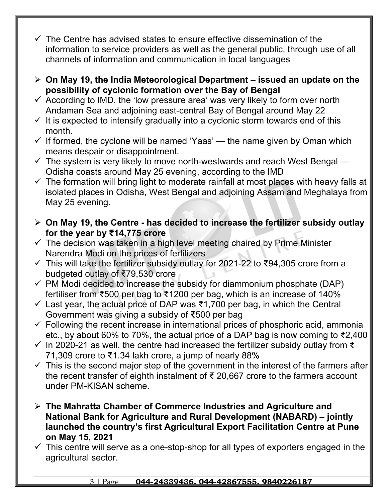- $\checkmark$  The Centre has advised states to ensure effective dissemination of the information to service providers as well as the general public, through use of all channels of information and communication in local languages
- **On May 19, the India Meteorological Department issued an update on the possibility of cyclonic formation over the Bay of Bengal**
- $\checkmark$  According to IMD, the 'low pressure area' was very likely to form over north Andaman Sea and adjoining east-central Bay of Bengal around May 22
- $\checkmark$  It is expected to intensify gradually into a cyclonic storm towards end of this month.
- $\checkmark$  If formed, the cyclone will be named 'Yaas' the name given by Oman which means despair or disappointment.
- $\checkmark$  The system is very likely to move north-westwards and reach West Bengal Odisha coasts around May 25 evening, according to the IMD
- $\checkmark$  The formation will bring light to moderate rainfall at most places with heavy falls at isolated places in Odisha, West Bengal and adjoining Assam and Meghalaya from May 25 evening.
- **On May 19, the Centre has decided to increase the fertilizer subsidy outlay for the year by ₹14,775 crore**
- $\checkmark$  The decision was taken in a high level meeting chaired by Prime Minister Narendra Modi on the prices of fertilizers
- This will take the fertilizer subsidy outlay for 2021-22 to ₹94,305 crore from a budgeted outlay of ₹79,530 crore
- $\checkmark$  PM Modi decided to increase the subsidy for diammonium phosphate (DAP) fertiliser from ₹500 per bag to ₹1200 per bag, which is an increase of 140%
- $\checkmark$  Last year, the actual price of DAP was ₹1,700 per bag, in which the Central Government was giving a subsidy of ₹500 per bag
- $\checkmark$  Following the recent increase in international prices of phosphoric acid, ammonia etc., by about 60% to 70%, the actual price of a DAP bag is now coming to ₹2,400
- $\checkmark$  In 2020-21 as well, the centre had increased the fertilizer subsidy outlay from  $\check{\tau}$ 71,309 crore to ₹1.34 lakh crore, a jump of nearly 88%
- $\checkmark$  This is the second major step of the government in the interest of the farmers after the recent transfer of eighth instalment of ₹ 20,667 crore to the farmers account under PM-KISAN scheme.
- **The Mahratta Chamber of Commerce Industries and Agriculture and National Bank for Agriculture and Rural Development (NABARD) – jointly launched the country's first Agricultural Export Facilitation Centre at Pune on May 15, 2021**
- $\checkmark$  This centre will serve as a one-stop-shop for all types of exporters engaged in the agricultural sector.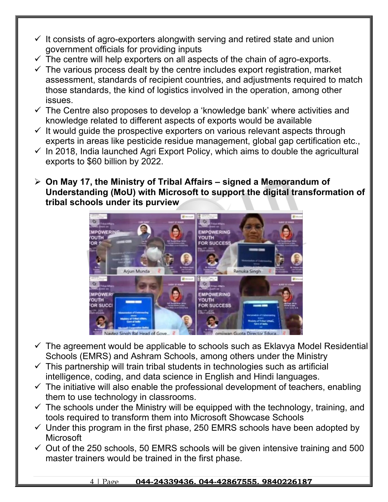- $\checkmark$  It consists of agro-exporters alongwith serving and retired state and union government officials for providing inputs
- $\checkmark$  The centre will help exporters on all aspects of the chain of agro-exports.
- $\checkmark$  The various process dealt by the centre includes export registration, market assessment, standards of recipient countries, and adjustments required to match those standards, the kind of logistics involved in the operation, among other issues.
- $\checkmark$  The Centre also proposes to develop a 'knowledge bank' where activities and knowledge related to different aspects of exports would be available
- $\checkmark$  It would quide the prospective exporters on various relevant aspects through experts in areas like pesticide residue management, global gap certification etc.,
- $\checkmark$  In 2018, India launched Agri Export Policy, which aims to double the agricultural exports to \$60 billion by 2022.
- **On May 17, the Ministry of Tribal Affairs signed a Memorandum of Understanding (MoU) with Microsoft to support the digital transformation of tribal schools under its purview**



- $\checkmark$  The agreement would be applicable to schools such as Eklavya Model Residential Schools (EMRS) and Ashram Schools, among others under the Ministry
- $\checkmark$  This partnership will train tribal students in technologies such as artificial intelligence, coding, and data science in English and Hindi languages.
- $\checkmark$  The initiative will also enable the professional development of teachers, enabling them to use technology in classrooms.
- $\checkmark$  The schools under the Ministry will be equipped with the technology, training, and tools required to transform them into Microsoft Showcase Schools
- $\checkmark$  Under this program in the first phase, 250 EMRS schools have been adopted by **Microsoft**
- $\checkmark$  Out of the 250 schools, 50 EMRS schools will be given intensive training and 500 master trainers would be trained in the first phase.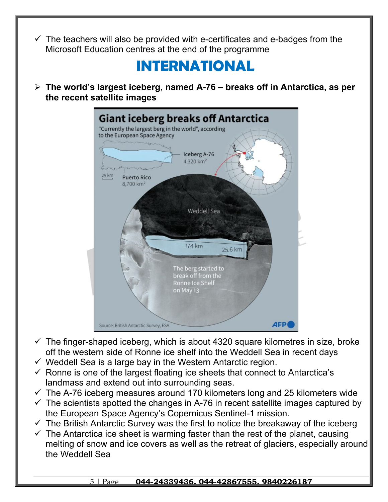The teachers will also be provided with e-certificates and e-badges from the Microsoft Education centres at the end of the programme

### **INTERNATIONAL**

 **The world's largest iceberg, named A-76 – breaks off in Antarctica, as per the recent satellite images** 



- $\checkmark$  The finger-shaped iceberg, which is about 4320 square kilometres in size, broke off the western side of Ronne ice shelf into the Weddell Sea in recent days
- $\checkmark$  Weddell Sea is a large bay in the Western Antarctic region.
- $\checkmark$  Ronne is one of the largest floating ice sheets that connect to Antarctica's landmass and extend out into surrounding seas.
- $\checkmark$  The A-76 iceberg measures around 170 kilometers long and 25 kilometers wide
- $\checkmark$  The scientists spotted the changes in A-76 in recent satellite images captured by the European Space Agency's Copernicus Sentinel-1 mission.
- $\checkmark$  The British Antarctic Survey was the first to notice the breakaway of the iceberg
- $\checkmark$  The Antarctica ice sheet is warming faster than the rest of the planet, causing melting of snow and ice covers as well as the retreat of glaciers, especially around the Weddell Sea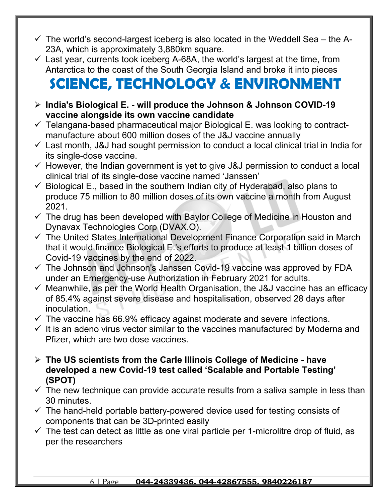- $\checkmark$  The world's second-largest iceberg is also located in the Weddell Sea the A-23A, which is approximately 3,880km square.
- $\checkmark$  Last year, currents took iceberg A-68A, the world's largest at the time, from Antarctica to the coast of the South Georgia Island and broke it into pieces

## **SCIENCE, TECHNOLOGY & ENVIRONMENT**

- **India's Biological E. will produce the Johnson & Johnson COVID-19 vaccine alongside its own vaccine candidate**
- $\checkmark$  Telangana-based pharmaceutical major Biological E. was looking to contractmanufacture about 600 million doses of the J&J vaccine annually
- $\checkmark$  Last month, J&J had sought permission to conduct a local clinical trial in India for its single-dose vaccine.
- $\checkmark$  However, the Indian government is yet to give J&J permission to conduct a local clinical trial of its single-dose vaccine named 'Janssen'
- $\checkmark$  Biological E., based in the southern Indian city of Hyderabad, also plans to produce 75 million to 80 million doses of its own vaccine a month from August 2021.
- $\checkmark$  The drug has been developed with Baylor College of Medicine in Houston and Dynavax Technologies Corp (DVAX.O).
- $\checkmark$  The United States International Development Finance Corporation said in March that it would finance Biological E.'s efforts to produce at least 1 billion doses of Covid-19 vaccines by the end of 2022.
- $\checkmark$  The Johnson and Johnson's Janssen Covid-19 vaccine was approved by FDA under an Emergency-use Authorization in February 2021 for adults.
- $\checkmark$  Meanwhile, as per the World Health Organisation, the J&J vaccine has an efficacy of 85.4% against severe disease and hospitalisation, observed 28 days after inoculation.
- $\checkmark$  The vaccine has 66.9% efficacy against moderate and severe infections.
- $\checkmark$  It is an adeno virus vector similar to the vaccines manufactured by Moderna and Pfizer, which are two dose vaccines.
- **The US scientists from the Carle Illinois College of Medicine have developed a new Covid-19 test called 'Scalable and Portable Testing' (SPOT)**
- $\checkmark$  The new technique can provide accurate results from a saliva sample in less than 30 minutes.
- $\checkmark$  The hand-held portable battery-powered device used for testing consists of components that can be 3D-printed easily
- $\checkmark$  The test can detect as little as one viral particle per 1-microlitre drop of fluid, as per the researchers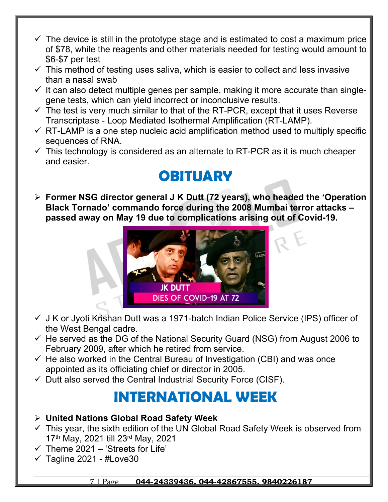- $\checkmark$  The device is still in the prototype stage and is estimated to cost a maximum price of \$78, while the reagents and other materials needed for testing would amount to \$6-\$7 per test
- $\checkmark$  This method of testing uses saliva, which is easier to collect and less invasive than a nasal swab
- $\checkmark$  It can also detect multiple genes per sample, making it more accurate than singlegene tests, which can yield incorrect or inconclusive results.
- $\checkmark$  The test is very much similar to that of the RT-PCR, except that it uses Reverse Transcriptase - Loop Mediated Isothermal Amplification (RT-LAMP).
- $\checkmark$  RT-LAMP is a one step nucleic acid amplification method used to multiply specific sequences of RNA.
- $\checkmark$  This technology is considered as an alternate to RT-PCR as it is much cheaper and easier.

### **OBITUARY**

 **Former NSG director general J K Dutt (72 years), who headed the 'Operation Black Tornado' commando force during the 2008 Mumbai terror attacks – passed away on May 19 due to complications arising out of Covid-19.** 



- $\checkmark$  J K or Jyoti Krishan Dutt was a 1971-batch Indian Police Service (IPS) officer of the West Bengal cadre.
- $\checkmark$  He served as the DG of the National Security Guard (NSG) from August 2006 to February 2009, after which he retired from service.
- $\checkmark$  He also worked in the Central Bureau of Investigation (CBI) and was once appointed as its officiating chief or director in 2005.
- $\checkmark$  Dutt also served the Central Industrial Security Force (CISF).

### **INTERNATIONAL WEEK**

- **United Nations Global Road Safety Week**
- $\checkmark$  This year, the sixth edition of the UN Global Road Safety Week is observed from 17th May, 2021 till 23rd May, 2021
- $\checkmark$  Theme 2021 'Streets for Life'
- $\checkmark$  Tagline 2021 #Love30